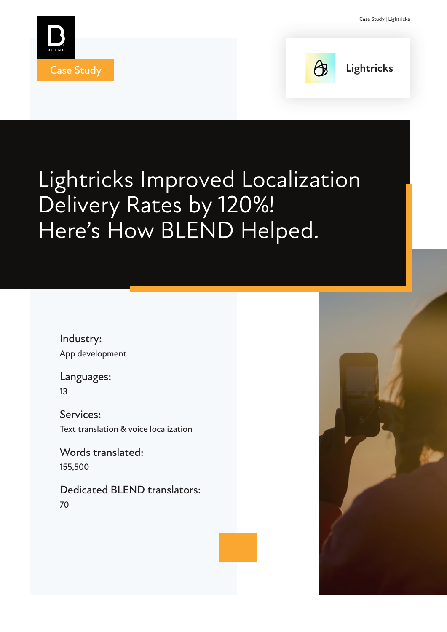



**Case Study Lightricks** 

# Lightricks Improved Localization Delivery Rates by 120%! Here's How BLEND Helped.

Industry: App development

Languages: 13

Services: Text translation & voice localization

Words translated: 155,500

Dedicated BLEND translators: 70

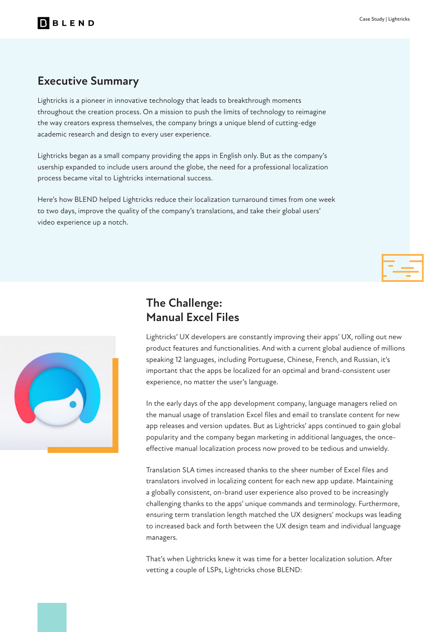#### **Executive Summary**

Lightricks is a pioneer in innovative technology that leads to breakthrough moments throughout the creation process. On a mission to push the limits of technology to reimagine the way creators express themselves, the company brings a unique blend of cutting-edge academic research and design to every user experience.

Lightricks began as a small company providing the apps in English only. But as the company's usership expanded to include users around the globe, the need for a professional localization process became vital to Lightricks international success.

Here's how BLEND helped Lightricks reduce their localization turnaround times from one week to two days, improve the quality of the company's translations, and take their global users' video experience up a notch.





#### **The Challenge: Manual Excel Files**

Lightricks' UX developers are constantly improving their apps' UX, rolling out new product features and functionalities. And with a current global audience of millions speaking 12 languages, including Portuguese, Chinese, French, and Russian, it's important that the apps be localized for an optimal and brand-consistent user experience, no matter the user's language.

In the early days of the app development company, language managers relied on the manual usage of translation Excel files and email to translate content for new app releases and version updates. But as Lightricks' apps continued to gain global popularity and the company began marketing in additional languages, the onceeffective manual localization process now proved to be tedious and unwieldy.

Translation SLA times increased thanks to the sheer number of Excel files and translators involved in localizing content for each new app update. Maintaining a globally consistent, on-brand user experience also proved to be increasingly challenging thanks to the apps' unique commands and terminology. Furthermore, ensuring term translation length matched the UX designers' mockups was leading to increased back and forth between the UX design team and individual language managers.

That's when Lightricks knew it was time for a better localization solution. After vetting a couple of LSPs, Lightricks chose BLEND: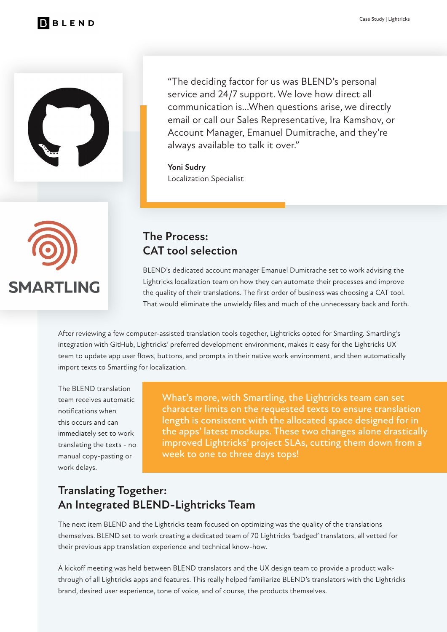



"The deciding factor for us was BLEND's personal service and 24/7 support. We love how direct all communication is...When questions arise, we directly email or call our Sales Representative, Ira Kamshov, or Account Manager, Emanuel Dumitrache, and they're always available to talk it over."

**Yoni Sudry** Localization Specialist



#### **The Process: CAT tool selection**

BLEND's dedicated account manager Emanuel Dumitrache set to work advising the Lightricks localization team on how they can automate their processes and improve the quality of their translations. The first order of business was choosing a CAT tool. That would eliminate the unwieldy files and much of the unnecessary back and forth.

After reviewing a few computer-assisted translation tools together, Lightricks opted for Smartling. Smartling's integration with GitHub, Lightricks' preferred development environment, makes it easy for the Lightricks UX team to update app user flows, buttons, and prompts in their native work environment, and then automatically import texts to Smartling for localization.

The BLEND translation team receives automatic notifications when this occurs and can immediately set to work translating the texts - no manual copy-pasting or work delays.

What's more, with Smartling, the Lightricks team can set character limits on the requested texts to ensure translation length is consistent with the allocated space designed for in the apps' latest mockups. These two changes alone drastically improved Lightricks' project SLAs, cutting them down from a week to one to three days tops!

## **Translating Together: An Integrated BLEND-Lightricks Team**

The next item BLEND and the Lightricks team focused on optimizing was the quality of the translations themselves. BLEND set to work creating a dedicated team of 70 Lightricks 'badged' translators, all vetted for their previous app translation experience and technical know-how.

A kickoff meeting was held between BLEND translators and the UX design team to provide a product walkthrough of all Lightricks apps and features. This really helped familiarize BLEND's translators with the Lightricks brand, desired user experience, tone of voice, and of course, the products themselves.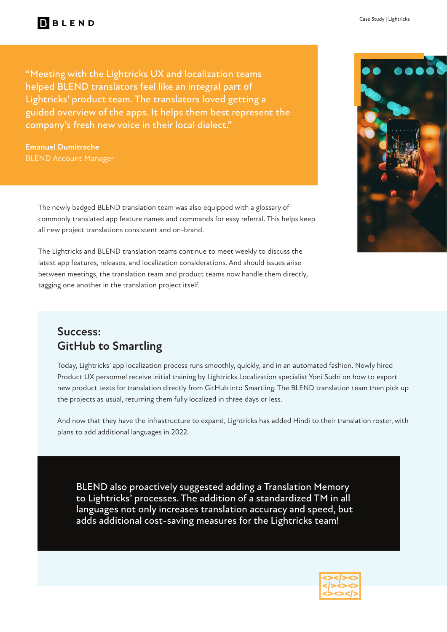"Meeting with the Lightricks UX and localization teams helped BLEND translators feel like an integral part of Lightricks' product team. The translators loved getting a guided overview of the apps. It helps them best represent the company's fresh new voice in their local dialect."

**Emanuel Dumitrache** BLEND Account Manager

> The newly badged BLEND translation team was also equipped with a glossary of commonly translated app feature names and commands for easy referral. This helps keep all new project translations consistent and on-brand.

The Lightricks and BLEND translation teams continue to meet weekly to discuss the latest app features, releases, and localization considerations. And should issues arise between meetings, the translation team and product teams now handle them directly, tagging one another in the translation project itself.

#### **Success: GitHub to Smartling**

Today, Lightricks' app localization process runs smoothly, quickly, and in an automated fashion. Newly hired Product UX personnel receive initial training by Lightricks Localization specialist Yoni Sudri on how to export new product texts for translation directly from GitHub into Smartling. The BLEND translation team then pick up the projects as usual, returning them fully localized in three days or less.

And now that they have the infrastructure to expand, Lightricks has added Hindi to their translation roster, with plans to add additional languages in 2022.

BLEND also proactively suggested adding a Translation Memory to Lightricks' processes. The addition of a standardized TM in all languages not only increases translation accuracy and speed, but adds additional cost-saving measures for the Lightricks team!



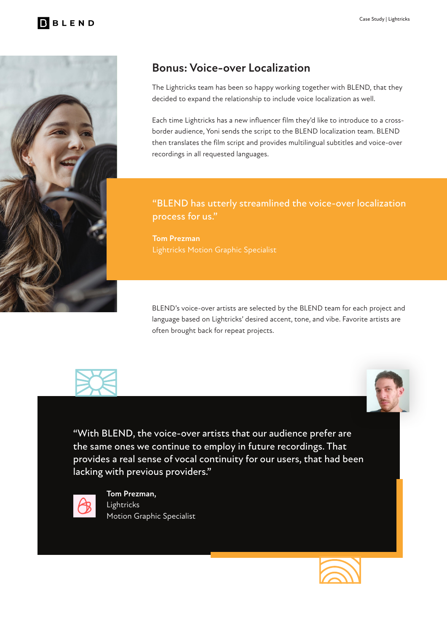

### **Bonus: Voice-over Localization**

The Lightricks team has been so happy working together with BLEND, that they decided to expand the relationship to include voice localization as well.

Each time Lightricks has a new influencer film they'd like to introduce to a crossborder audience, Yoni sends the script to the BLEND localization team. BLEND then translates the film script and provides multilingual subtitles and voice-over recordings in all requested languages.

#### "BLEND has utterly streamlined the voice-over localization process for us."

**Tom Prezman**

BLEND's voice-over artists are selected by the BLEND team for each project and language based on Lightricks' desired accent, tone, and vibe. Favorite artists are often brought back for repeat projects.



"With BLEND, the voice-over artists that our audience prefer are the same ones we continue to employ in future recordings. That provides a real sense of vocal continuity for our users, that had been lacking with previous providers."



**Tom Prezman,**  Lightricks Motion Graphic Specialist